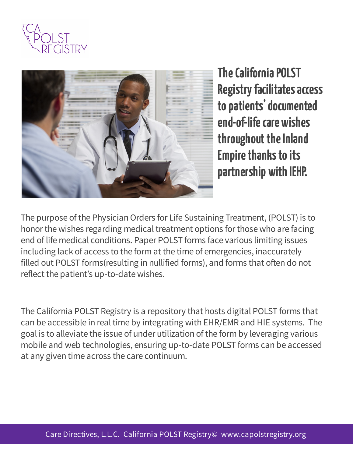



**The California POLST** Registry facilitates access to patients' documented end-of-life care wishes throughout the Inland **Empire thanks to its** partnership with IEHP.

The purpose of the Physician Orders for Life Sustaining Treatment, (POLST) is to honor the wishes regarding medical treatment options for those who are facing end of life medical conditions. Paper POLST forms face various limiting issues including lack of access to the form at the time of emergencies, inaccurately filled out POLST forms (resulting in nullified forms), and forms that often do not reflect the patient's up-to-date wishes.

The California POLST Registry is a repository that hosts digital POLST forms that can be accessible in real time by integrating with EHR/EMR and HIE systems. The goal is to alleviate the issue of under utilization of the form by leveraging various mobile and web technologies, ensuring up-to-date POLST forms can be accessed at any given time across the care continuum.